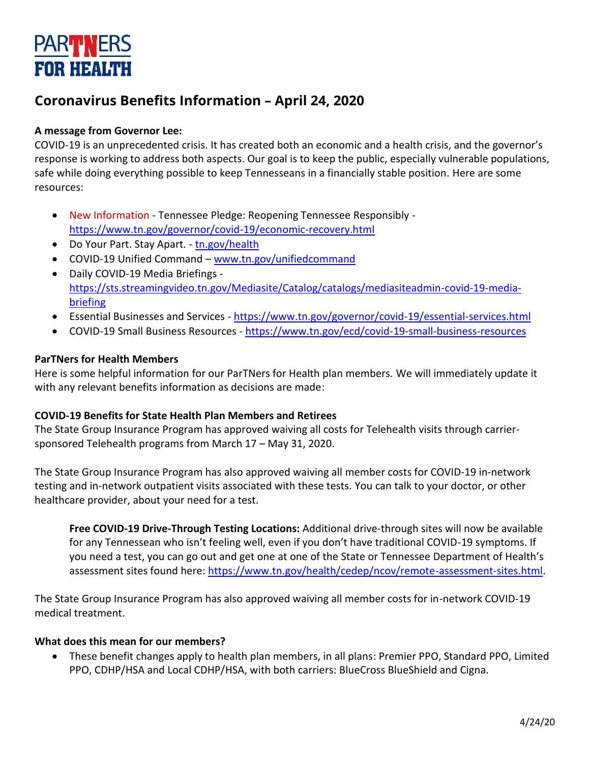# **PARTIVERS FOR HEALTH**

# **Coronavirus Benefits Information – April 24, 2020**

# **A message from Governor Lee:**

COVID-19 is an unprecedented crisis. It has created both an economic and a health crisis, and the governor's response is working to address both aspects. Our goal is to keep the public, especially vulnerable populations, safe while doing everything possible to keep Tennesseans in a financially stable position. Here are some resources:

- New Information Tennessee Pledge: Reopening Tennessee Responsibly <https://www.tn.gov/governor/covid-19/economic-recovery.html>
- Do Your Part. Stay Apart. [tn.gov/health](http://tn.gov/health)
- COVID-19 Unified Command [www.tn.gov/unifiedcommand](http://www.tn.gov/unifiedcommand)
- Daily COVID-19 Media Briefings [https://sts.streamingvideo.tn.gov/Mediasite/Catalog/catalogs/mediasiteadmin-covid-19-media](https://sts.streamingvideo.tn.gov/Mediasite/Catalog/catalogs/mediasiteadmin-covid-19-media-briefing)[briefing](https://sts.streamingvideo.tn.gov/Mediasite/Catalog/catalogs/mediasiteadmin-covid-19-media-briefing)
- Essential Businesses and Services <https://www.tn.gov/governor/covid-19/essential-services.html>
- COVID-19 Small Business Resources <https://www.tn.gov/ecd/covid-19-small-business-resources>

# **ParTNers for Health Members**

Here is some helpful information for our ParTNers for Health plan members. We will immediately update it with any relevant benefits information as decisions are made:

# **COVID-19 Benefits for State Health Plan Members and Retirees**

The State Group Insurance Program has approved waiving all costs for Telehealth visits through carriersponsored Telehealth programs from March 17 – May 31, 2020.

The State Group Insurance Program has also approved waiving all member costs for COVID-19 in-network testing and in-network outpatient visits associated with these tests. You can talk to your doctor, or other healthcare provider, about your need for a test.

**Free COVID-19 Drive-Through Testing Locations:** Additional drive-through sites will now be available for any Tennessean who isn't feeling well, even if you don't have traditional COVID-19 symptoms. If you need a test, you can go out and get one at one of the State or Tennessee Department of Health's assessment sites found here: [https://www.tn.gov/health/cedep/ncov/remote-assessment-sites.html.](https://www.tn.gov/health/cedep/ncov/remote-assessment-sites.html)

The State Group Insurance Program has also approved waiving all member costs for in-network COVID-19 medical treatment.

# **What does this mean for our members?**

• These benefit changes apply to health plan members, in all plans: Premier PPO, Standard PPO, Limited PPO, CDHP/HSA and Local CDHP/HSA, with both carriers: BlueCross BlueShield and Cigna.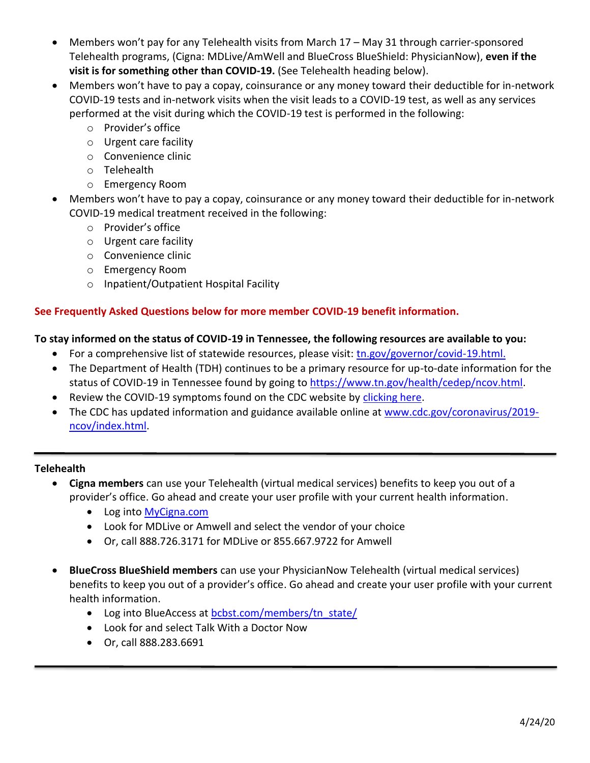- Members won't pay for any Telehealth visits from March 17 May 31 through carrier-sponsored Telehealth programs, (Cigna: MDLive/AmWell and BlueCross BlueShield: PhysicianNow), **even if the visit is for something other than COVID-19.** (See Telehealth heading below).
- Members won't have to pay a copay, coinsurance or any money toward their deductible for in-network COVID-19 tests and in-network visits when the visit leads to a COVID-19 test, as well as any services performed at the visit during which the COVID-19 test is performed in the following:
	- o Provider's office
	- o Urgent care facility
	- o Convenience clinic
	- o Telehealth
	- o Emergency Room
- Members won't have to pay a copay, coinsurance or any money toward their deductible for in-network COVID-19 medical treatment received in the following:
	- o Provider's office
	- o Urgent care facility
	- o Convenience clinic
	- o Emergency Room
	- o Inpatient/Outpatient Hospital Facility

### **See Frequently Asked Questions below for more member COVID-19 benefit information.**

#### **To stay informed on the status of COVID-19 in Tennessee, the following resources are available to you:**

- For a comprehensive list of statewide resources, please visit: [tn.gov/governor/covid-19.html.](https://www.tn.gov/governor/covid-19.html)
- The Department of Health (TDH) continues to be a primary resource for up-to-date information for the status of COVID-19 in Tennessee found by going t[o https://www.tn.gov/health/cedep/ncov.html.](https://www.tn.gov/health/cedep/ncov.html)
- Review the COVID-19 symptoms found on the CDC website by [clicking here.](https://www.cdc.gov/coronavirus/2019-ncov/about/symptoms.html)
- The CDC has updated information and guidance available online at [www.cdc.gov/coronavirus/2019](http://www.cdc.gov/coronavirus/2019-ncov/index.html) [ncov/index.html.](http://www.cdc.gov/coronavirus/2019-ncov/index.html)

#### **Telehealth**

- **Cigna members** can use your Telehealth (virtual medical services) benefits to keep you out of a provider's office. Go ahead and create your user profile with your current health information.
	- Log into MyCigna.com
	- Look for MDLive or Amwell and select the vendor of your choice
	- Or, call 888.726.3171 for MDLive or 855.667.9722 for Amwell
- **BlueCross BlueShield members** can use your PhysicianNow Telehealth (virtual medical services) benefits to keep you out of a provider's office. Go ahead and create your user profile with your current health information.
	- Log into BlueAccess at **[bcbst.com/members/tn\\_state/](http://www.bcbst.com/members/tn_state/)**
	- Look for and select Talk With a Doctor Now
	- Or, call 888.283.6691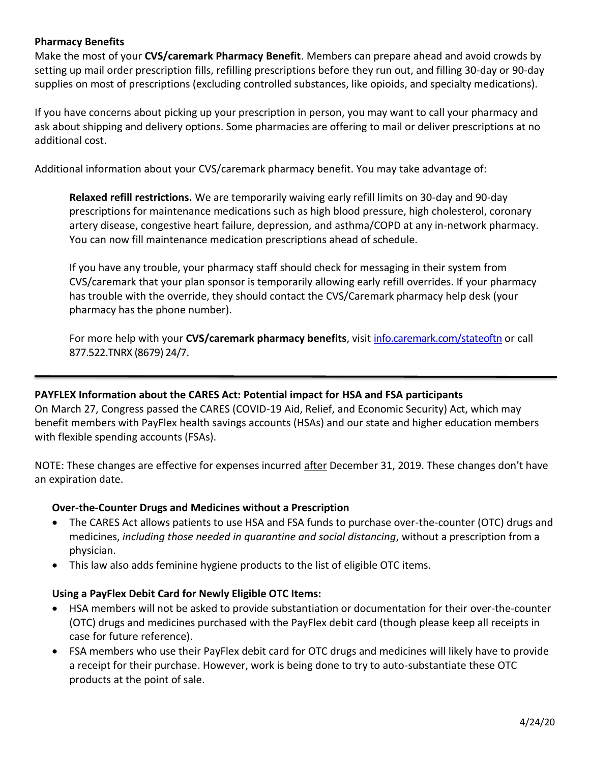### **Pharmacy Benefits**

Make the most of your **CVS/caremark Pharmacy Benefit**. Members can prepare ahead and avoid crowds by setting up mail order prescription fills, refilling prescriptions before they run out, and filling 30-day or 90-day supplies on most of prescriptions (excluding controlled substances, like opioids, and specialty medications).

If you have concerns about picking up your prescription in person, you may want to call your pharmacy and ask about shipping and delivery options. Some pharmacies are offering to mail or deliver prescriptions at no additional cost.

Additional information about your CVS/caremark pharmacy benefit. You may take advantage of:

**Relaxed refill restrictions.** We are temporarily waiving early refill limits on 30-day and 90-day prescriptions for maintenance medications such as high blood pressure, high cholesterol, coronary artery disease, congestive heart failure, depression, and asthma/COPD at any in-network pharmacy. You can now fill maintenance medication prescriptions ahead of schedule.

If you have any trouble, your pharmacy staff should check for messaging in their system from CVS/caremark that your plan sponsor is temporarily allowing early refill overrides. If your pharmacy has trouble with the override, they should contact the CVS/Caremark pharmacy help desk (your pharmacy has the phone number).

For more help with your **CVS/caremark pharmacy benefits**, visi[t info.caremark.com/stateoftn](http://info.caremark.com/stateoftn) or call 877.522.TNRX (8679) 24/7.

#### **PAYFLEX Information about the CARES Act: Potential impact for HSA and FSA participants**

On March 27, Congress passed the CARES (COVID-19 Aid, Relief, and Economic Security) Act, which may benefit members with PayFlex health savings accounts (HSAs) and our state and higher education members with flexible spending accounts (FSAs).

NOTE: These changes are effective for expenses incurred after December 31, 2019. These changes don't have an expiration date.

#### **Over-the-Counter Drugs and Medicines without a Prescription**

- The CARES Act allows patients to use HSA and FSA funds to purchase over-the-counter (OTC) drugs and medicines, *including those needed in quarantine and social distancing*, without a prescription from a physician.
- This law also adds feminine hygiene products to the list of eligible OTC items.

#### **Using a PayFlex Debit Card for Newly Eligible OTC Items:**

- HSA members will not be asked to provide substantiation or documentation for their over-the-counter (OTC) drugs and medicines purchased with the PayFlex debit card (though please keep all receipts in case for future reference).
- FSA members who use their PayFlex debit card for OTC drugs and medicines will likely have to provide a receipt for their purchase. However, work is being done to try to auto-substantiate these OTC products at the point of sale.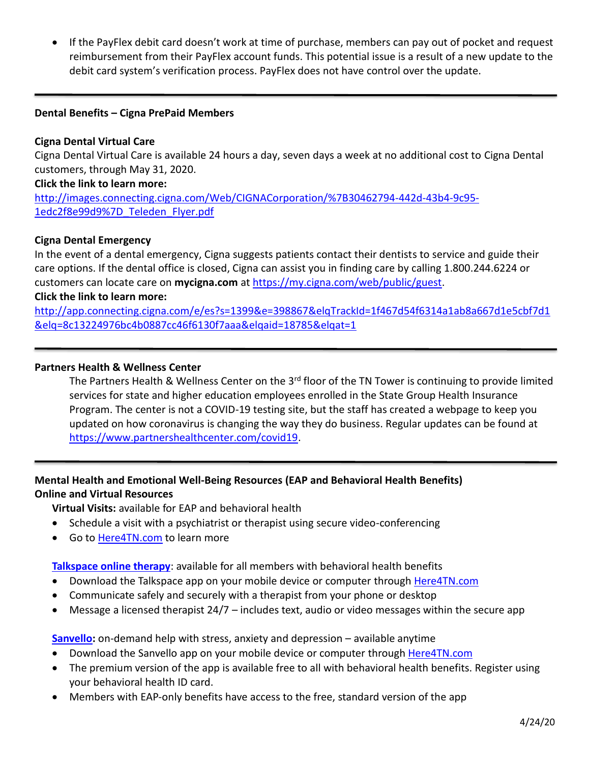• If the PayFlex debit card doesn't work at time of purchase, members can pay out of pocket and request reimbursement from their PayFlex account funds. This potential issue is a result of a new update to the debit card system's verification process. PayFlex does not have control over the update.

#### **Dental Benefits – Cigna PrePaid Members**

#### **Cigna Dental Virtual Care**

Cigna Dental Virtual Care is available 24 hours a day, seven days a week at no additional cost to Cigna Dental customers, through May 31, 2020.

#### **Click the link to learn more:**

[http://images.connecting.cigna.com/Web/CIGNACorporation/%7B30462794-442d-43b4-9c95-](http://images.connecting.cigna.com/Web/CIGNACorporation/%7B30462794-442d-43b4-9c95-1edc2f8e99d9%7D_Teleden_Flyer.pdf) [1edc2f8e99d9%7D\\_Teleden\\_Flyer.pdf](http://images.connecting.cigna.com/Web/CIGNACorporation/%7B30462794-442d-43b4-9c95-1edc2f8e99d9%7D_Teleden_Flyer.pdf)

#### **Cigna Dental Emergency**

In the event of a dental emergency, Cigna suggests patients contact their dentists to service and guide their care options. If the dental office is closed, Cigna can assist you in finding care by calling 1.800.244.6224 or customers can locate care on **mycigna.com** at [https://my.cigna.com/web/public/guest.](https://my.cigna.com/web/public/guest)

#### **Click the link to learn more:**

[http://app.connecting.cigna.com/e/es?s=1399&e=398867&elqTrackId=1f467d54f6314a1ab8a667d1e5cbf7d1](http://app.connecting.cigna.com/e/es?s=1399&e=398867&elqTrackId=1f467d54f6314a1ab8a667d1e5cbf7d1&elq=8c13224976bc4b0887cc46f6130f7aaa&elqaid=18785&elqat=1) [&elq=8c13224976bc4b0887cc46f6130f7aaa&elqaid=18785&elqat=1](http://app.connecting.cigna.com/e/es?s=1399&e=398867&elqTrackId=1f467d54f6314a1ab8a667d1e5cbf7d1&elq=8c13224976bc4b0887cc46f6130f7aaa&elqaid=18785&elqat=1)

#### **Partners Health & Wellness Center**

The Partners Health & Wellness Center on the 3<sup>rd</sup> floor of the TN Tower is continuing to provide limited services for state and higher education employees enrolled in the State Group Health Insurance Program. The center is not a COVID-19 testing site, but the staff has created a webpage to keep you updated on how coronavirus is changing the way they do business. Regular updates can be found at [https://www.partnershealthcenter.com/covid19.](https://www.partnershealthcenter.com/covid19)

# **Mental Health and Emotional Well-Being Resources (EAP and Behavioral Health Benefits) Online and Virtual Resources**

**Virtual Visits:** available for EAP and behavioral health

- Schedule a visit with a psychiatrist or therapist using secure video-conferencing
- Go to [Here4TN.com](http://www.here4tn.com/) to learn more

**[Talkspace online therapy](https://www.tn.gov/content/dam/tn/finance/fa-benefits/documents/talkspace_flier_2020.pdf)**: available for all members with behavioral health benefits

- Download the Talkspace app on your mobile device or computer throug[h Here4TN.com](http://www.here4tn.com/)
- Communicate safely and securely with a therapist from your phone or desktop
- Message a licensed therapist  $24/7$  includes text, audio or video messages within the secure app

**[Sanvello:](https://cx.optum.com/content/dam/cex-consumer/here4tn-etoolkit/documents/Here4TN-Sanvello-Flyer.pdf)** on-demand help with stress, anxiety and depression – available anytime

- Download the Sanvello app on your mobile device or computer through [Here4TN.com](http://www.here4tn.com/)
- The premium version of the app is available free to all with behavioral health benefits. Register using your behavioral health ID card.
- Members with EAP-only benefits have access to the free, standard version of the app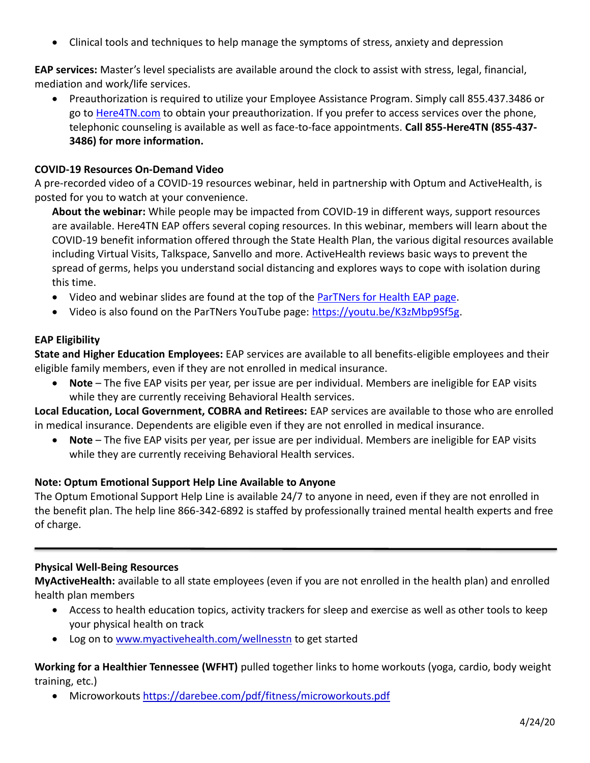• Clinical tools and techniques to help manage the symptoms of stress, anxiety and depression

**EAP services:** Master's level specialists are available around the clock to assist with stress, legal, financial, mediation and work/life services.

• Preauthorization is required to utilize your Employee Assistance Program. Simply call 855.437.3486 or go to [Here4TN.com](http://www.here4tn.com/) to obtain your preauthorization. If you prefer to access services over the phone, telephonic counseling is available as well as face-to-face appointments. **Call 855-Here4TN (855-437- 3486) for more information.**

#### **COVID-19 Resources On-Demand Video**

A pre-recorded video of a COVID-19 resources webinar, held in partnership with Optum and ActiveHealth, is posted for you to watch at your convenience.

**About the webinar:** While people may be impacted from COVID-19 in different ways, support resources are available. Here4TN EAP offers several coping resources. In this webinar, members will learn about the COVID-19 benefit information offered through the State Health Plan, the various digital resources available including Virtual Visits, Talkspace, Sanvello and more. ActiveHealth reviews basic ways to prevent the spread of germs, helps you understand social distancing and explores ways to cope with isolation during this time.

- Video and webinar slides are found at the top of the [ParTNers for Health EAP page.](https://www.tn.gov/partnersforhealth/other-benefits/eap.html)
- Video is also found on the ParTNers YouTube page: [https://youtu.be/K3zMbp9Sf5g.](https://youtu.be/K3zMbp9Sf5g)

#### **EAP Eligibility**

**State and Higher Education Employees:** EAP services are available to all benefits-eligible employees and their eligible family members, even if they are not enrolled in medical insurance.

• **Note** – The five EAP visits per year, per issue are per individual. Members are ineligible for EAP visits while they are currently receiving Behavioral Health services.

**Local Education, Local Government, COBRA and Retirees:** EAP services are available to those who are enrolled in medical insurance. Dependents are eligible even if they are not enrolled in medical insurance.

• **Note** – The five EAP visits per year, per issue are per individual. Members are ineligible for EAP visits while they are currently receiving Behavioral Health services.

# **Note: Optum Emotional Support Help Line Available to Anyone**

The Optum Emotional Support Help Line is available 24/7 to anyone in need, even if they are not enrolled in the benefit plan. The help line 866-342-6892 is staffed by professionally trained mental health experts and free of charge.

#### **Physical Well-Being Resources**

**MyActiveHealth:** available to all state employees (even if you are not enrolled in the health plan) and enrolled health plan members

- Access to health education topics, activity trackers for sleep and exercise as well as other tools to keep your physical health on track
- Log on to [www.myactivehealth.com/wellnesstn](http://www.myactivehealth.com/wellnesstn) to get started

**Working for a Healthier Tennessee (WFHT)** pulled together links to home workouts (yoga, cardio, body weight training, etc.)

• Microworkouts <https://darebee.com/pdf/fitness/microworkouts.pdf>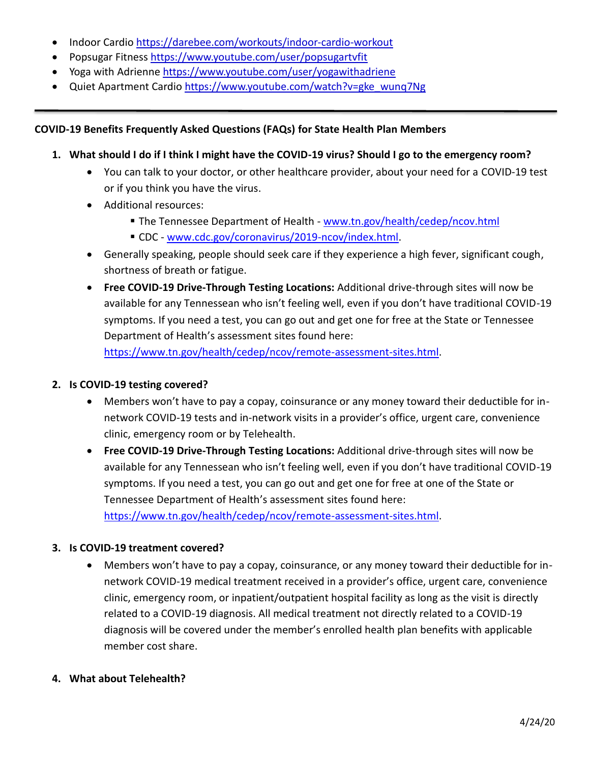- Indoor Cardio<https://darebee.com/workouts/indoor-cardio-workout>
- Popsugar Fitness<https://www.youtube.com/user/popsugartvfit>
- Yoga with Adrienne <https://www.youtube.com/user/yogawithadriene>
- Quiet Apartment Cardio https://www.youtube.com/watch?v=gke\_wung7Ng

# **COVID-19 Benefits Frequently Asked Questions (FAQs) for State Health Plan Members**

# **1. What should I do if I think I might have the COVID-19 virus? Should I go to the emergency room?**

- You can talk to your doctor, or other healthcare provider, about your need for a COVID-19 test or if you think you have the virus.
- Additional resources:
	- **The Tennessee Department of Health [www.tn.gov/health/cedep/ncov.html](http://www.tn.gov/health/cedep/ncov.html)**
	- **EXEC [www.cdc.gov/coronavirus/2019-ncov/index.html.](http://www.cdc.gov/coronavirus/2019-ncov/index.html)**
- Generally speaking, people should seek care if they experience a high fever, significant cough, shortness of breath or fatigue.
- **Free COVID-19 Drive-Through Testing Locations:** Additional drive-through sites will now be available for any Tennessean who isn't feeling well, even if you don't have traditional COVID-19 symptoms. If you need a test, you can go out and get one for free at the State or Tennessee Department of Health's assessment sites found here: [https://www.tn.gov/health/cedep/ncov/remote-assessment-sites.html.](https://www.tn.gov/health/cedep/ncov/remote-assessment-sites.html)

# **2. Is COVID-19 testing covered?**

- Members won't have to pay a copay, coinsurance or any money toward their deductible for innetwork COVID-19 tests and in-network visits in a provider's office, urgent care, convenience clinic, emergency room or by Telehealth.
- **Free COVID-19 Drive-Through Testing Locations:** Additional drive-through sites will now be available for any Tennessean who isn't feeling well, even if you don't have traditional COVID-19 symptoms. If you need a test, you can go out and get one for free at one of the State or Tennessee Department of Health's assessment sites found here: [https://www.tn.gov/health/cedep/ncov/remote-assessment-sites.html.](https://www.tn.gov/health/cedep/ncov/remote-assessment-sites.html)

# **3. Is COVID-19 treatment covered?**

• Members won't have to pay a copay, coinsurance, or any money toward their deductible for innetwork COVID-19 medical treatment received in a provider's office, urgent care, convenience clinic, emergency room, or inpatient/outpatient hospital facility as long as the visit is directly related to a COVID-19 diagnosis. All medical treatment not directly related to a COVID-19 diagnosis will be covered under the member's enrolled health plan benefits with applicable member cost share.

# **4. What about Telehealth?**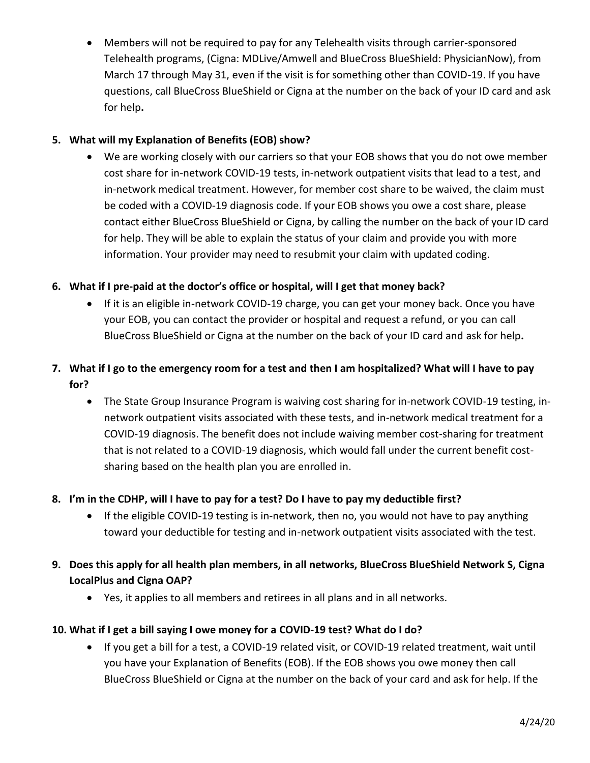• Members will not be required to pay for any Telehealth visits through carrier-sponsored Telehealth programs, (Cigna: MDLive/Amwell and BlueCross BlueShield: PhysicianNow), from March 17 through May 31, even if the visit is for something other than COVID-19. If you have questions, call BlueCross BlueShield or Cigna at the number on the back of your ID card and ask for help**.**

# **5. What will my Explanation of Benefits (EOB) show?**

• We are working closely with our carriers so that your EOB shows that you do not owe member cost share for in-network COVID-19 tests, in-network outpatient visits that lead to a test, and in-network medical treatment. However, for member cost share to be waived, the claim must be coded with a COVID-19 diagnosis code. If your EOB shows you owe a cost share, please contact either BlueCross BlueShield or Cigna, by calling the number on the back of your ID card for help. They will be able to explain the status of your claim and provide you with more information. Your provider may need to resubmit your claim with updated coding.

# **6. What if I pre-paid at the doctor's office or hospital, will I get that money back?**

- If it is an eligible in-network COVID-19 charge, you can get your money back. Once you have your EOB, you can contact the provider or hospital and request a refund, or you can call BlueCross BlueShield or Cigna at the number on the back of your ID card and ask for help**.**
- **7. What if I go to the emergency room for a test and then I am hospitalized? What will I have to pay for?**
	- The State Group Insurance Program is waiving cost sharing for in-network COVID-19 testing, innetwork outpatient visits associated with these tests, and in-network medical treatment for a COVID-19 diagnosis. The benefit does not include waiving member cost-sharing for treatment that is not related to a COVID-19 diagnosis, which would fall under the current benefit costsharing based on the health plan you are enrolled in.

# **8. I'm in the CDHP, will I have to pay for a test? Do I have to pay my deductible first?**

- If the eligible COVID-19 testing is in-network, then no, you would not have to pay anything toward your deductible for testing and in-network outpatient visits associated with the test.
- **9. Does this apply for all health plan members, in all networks, BlueCross BlueShield Network S, Cigna LocalPlus and Cigna OAP?** 
	- Yes, it applies to all members and retirees in all plans and in all networks.

# **10. What if I get a bill saying I owe money for a COVID-19 test? What do I do?**

• If you get a bill for a test, a COVID-19 related visit, or COVID-19 related treatment, wait until you have your Explanation of Benefits (EOB). If the EOB shows you owe money then call BlueCross BlueShield or Cigna at the number on the back of your card and ask for help. If the